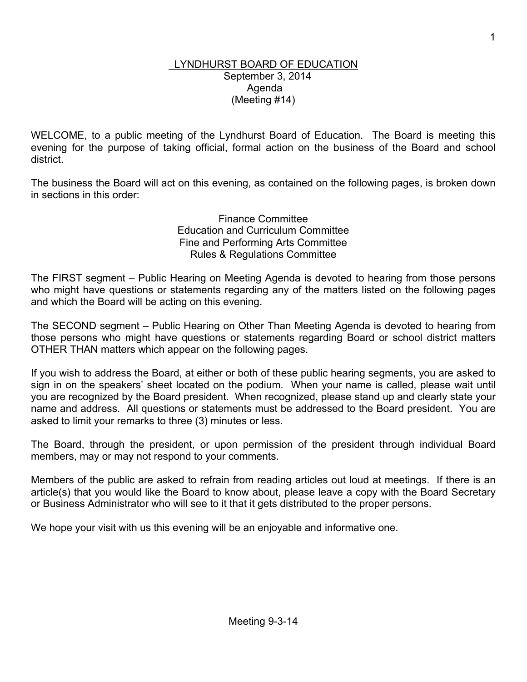## LYNDHURST BOARD OF EDUCATION September 3, 2014 Agenda (Meeting #14)

WELCOME, to a public meeting of the Lyndhurst Board of Education. The Board is meeting this evening for the purpose of taking official, formal action on the business of the Board and school district.

The business the Board will act on this evening, as contained on the following pages, is broken down in sections in this order:

> Finance Committee Education and Curriculum Committee Fine and Performing Arts Committee Rules & Regulations Committee

The FIRST segment – Public Hearing on Meeting Agenda is devoted to hearing from those persons who might have questions or statements regarding any of the matters listed on the following pages and which the Board will be acting on this evening.

The SECOND segment – Public Hearing on Other Than Meeting Agenda is devoted to hearing from those persons who might have questions or statements regarding Board or school district matters OTHER THAN matters which appear on the following pages.

If you wish to address the Board, at either or both of these public hearing segments, you are asked to sign in on the speakers' sheet located on the podium. When your name is called, please wait until you are recognized by the Board president. When recognized, please stand up and clearly state your name and address. All questions or statements must be addressed to the Board president. You are asked to limit your remarks to three (3) minutes or less.

The Board, through the president, or upon permission of the president through individual Board members, may or may not respond to your comments.

Members of the public are asked to refrain from reading articles out loud at meetings. If there is an article(s) that you would like the Board to know about, please leave a copy with the Board Secretary or Business Administrator who will see to it that it gets distributed to the proper persons.

We hope your visit with us this evening will be an enjoyable and informative one.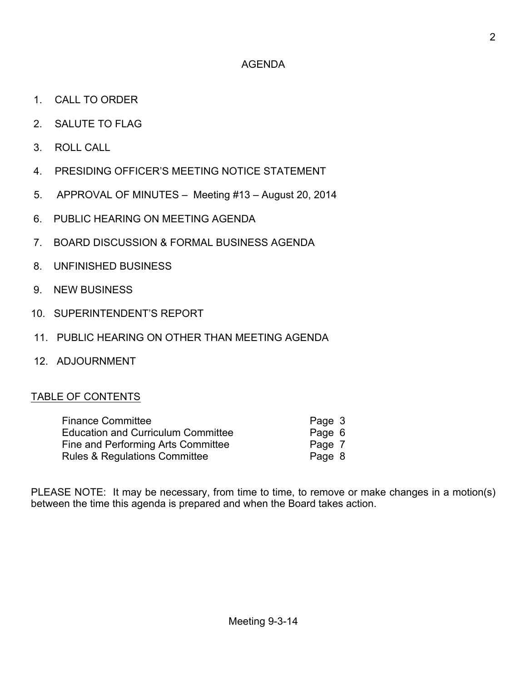## AGENDA

- 1. CALL TO ORDER
- 2. SALUTE TO FLAG
- 3. ROLL CALL
- 4. PRESIDING OFFICER'S MEETING NOTICE STATEMENT
- 5. APPROVAL OF MINUTES Meeting #13 August 20, 2014
- 6. PUBLIC HEARING ON MEETING AGENDA
- 7. BOARD DISCUSSION & FORMAL BUSINESS AGENDA
- 8. UNFINISHED BUSINESS
- 9. NEW BUSINESS
- 10. SUPERINTENDENT'S REPORT
- 11. PUBLIC HEARING ON OTHER THAN MEETING AGENDA
- 12. ADJOURNMENT

## TABLE OF CONTENTS

| <b>Finance Committee</b>                  | Page 3 |
|-------------------------------------------|--------|
| <b>Education and Curriculum Committee</b> | Page 6 |
| Fine and Performing Arts Committee        | Page 7 |
| <b>Rules &amp; Regulations Committee</b>  | Page 8 |

PLEASE NOTE: It may be necessary, from time to time, to remove or make changes in a motion(s) between the time this agenda is prepared and when the Board takes action.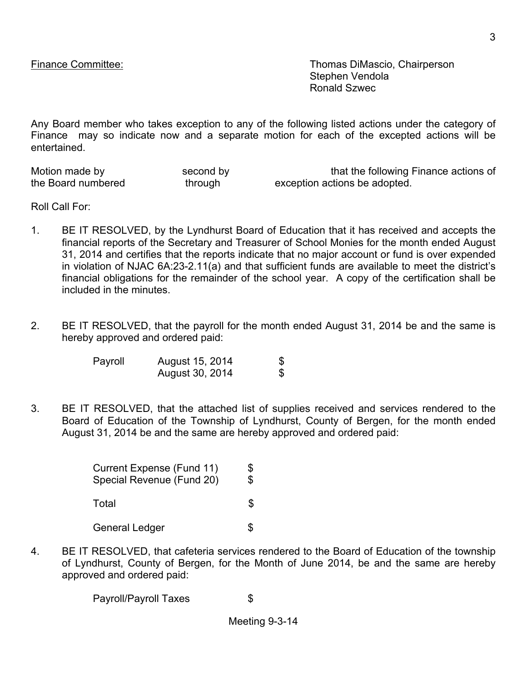Finance Committee: Thomas DiMascio, Chairperson Stephen Vendola Ronald Szwec

Any Board member who takes exception to any of the following listed actions under the category of Finance may so indicate now and a separate motion for each of the excepted actions will be entertained.

| Motion made by     | second by |
|--------------------|-----------|
| the Board numbered | through   |

that the following Finance actions of exception actions be adopted.

Roll Call For:

- 1. BE IT RESOLVED, by the Lyndhurst Board of Education that it has received and accepts the financial reports of the Secretary and Treasurer of School Monies for the month ended August 31, 2014 and certifies that the reports indicate that no major account or fund is over expended in violation of NJAC 6A:23-2.11(a) and that sufficient funds are available to meet the district's financial obligations for the remainder of the school year. A copy of the certification shall be included in the minutes.
- 2. BE IT RESOLVED, that the payroll for the month ended August 31, 2014 be and the same is hereby approved and ordered paid:

| Payroll | August 15, 2014 | \$ |
|---------|-----------------|----|
|         | August 30, 2014 | S  |

3. BE IT RESOLVED, that the attached list of supplies received and services rendered to the Board of Education of the Township of Lyndhurst, County of Bergen, for the month ended August 31, 2014 be and the same are hereby approved and ordered paid:

| Current Expense (Fund 11)<br>Special Revenue (Fund 20) | \$<br>\$ |
|--------------------------------------------------------|----------|
| Total                                                  | S        |
| <b>General Ledger</b>                                  |          |

4. BE IT RESOLVED, that cafeteria services rendered to the Board of Education of the township of Lyndhurst, County of Bergen, for the Month of June 2014, be and the same are hereby approved and ordered paid:

Payroll/Payroll Taxes \$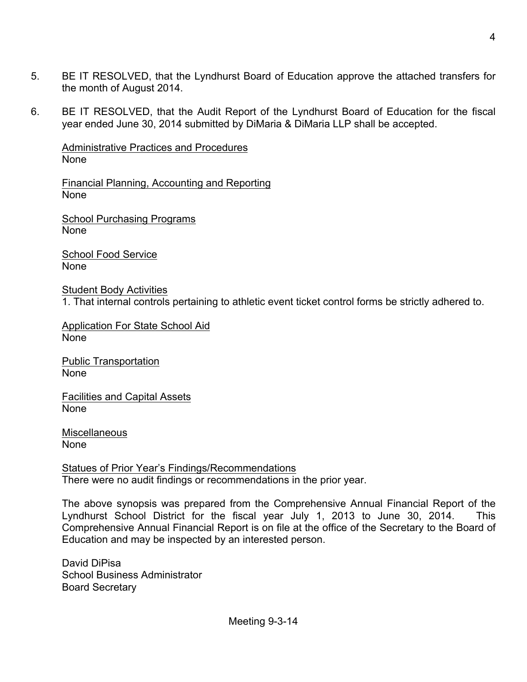- 5. BE IT RESOLVED, that the Lyndhurst Board of Education approve the attached transfers for the month of August 2014.
- 6. BE IT RESOLVED, that the Audit Report of the Lyndhurst Board of Education for the fiscal year ended June 30, 2014 submitted by DiMaria & DiMaria LLP shall be accepted.

Administrative Practices and Procedures None

Financial Planning, Accounting and Reporting None

School Purchasing Programs None

School Food Service None

Student Body Activities 1. That internal controls pertaining to athletic event ticket control forms be strictly adhered to.

Application For State School Aid None

Public Transportation None

Facilities and Capital Assets None

**Miscellaneous** None

Statues of Prior Year's Findings/Recommendations There were no audit findings or recommendations in the prior year.

The above synopsis was prepared from the Comprehensive Annual Financial Report of the Lyndhurst School District for the fiscal year July 1, 2013 to June 30, 2014. This Comprehensive Annual Financial Report is on file at the office of the Secretary to the Board of Education and may be inspected by an interested person.

David DiPisa School Business Administrator Board Secretary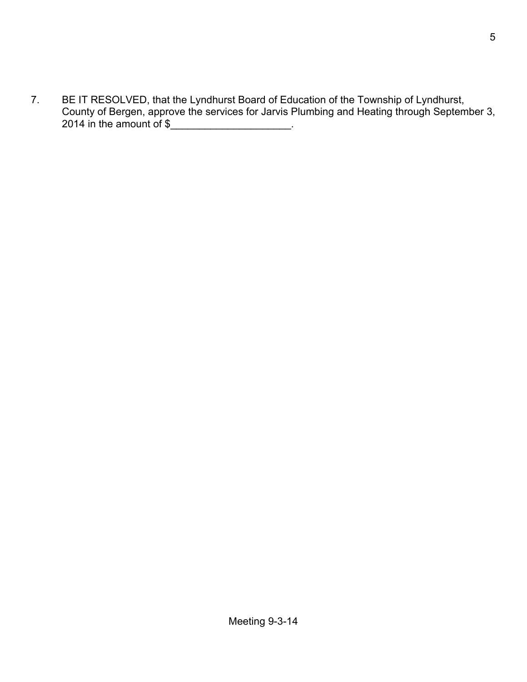7. BE IT RESOLVED, that the Lyndhurst Board of Education of the Township of Lyndhurst, County of Bergen, approve the services for Jarvis Plumbing and Heating through September 3, 2014 in the amount of \$\_\_\_\_\_\_\_\_\_\_\_\_\_\_\_\_\_\_\_\_\_.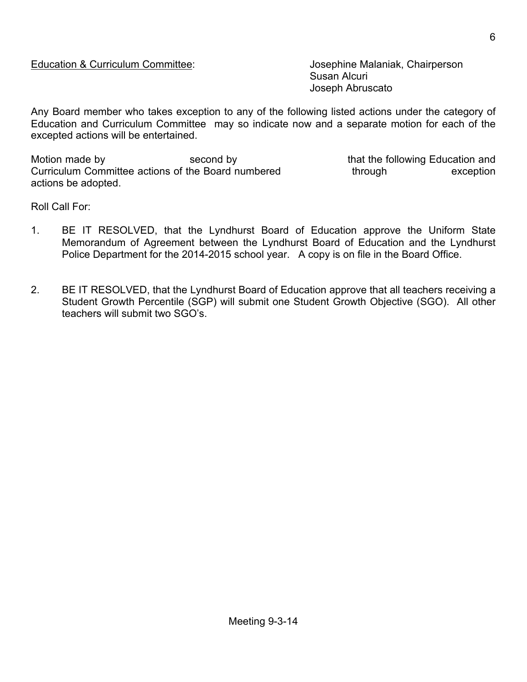Susan Alcuri Joseph Abruscato

Any Board member who takes exception to any of the following listed actions under the category of Education and Curriculum Committee may so indicate now and a separate motion for each of the excepted actions will be entertained.

Motion made by **Second by** second by that the following Education and Curriculum Committee actions of the Board numbered through through exception actions be adopted.

Roll Call For:

- 1. BE IT RESOLVED, that the Lyndhurst Board of Education approve the Uniform State Memorandum of Agreement between the Lyndhurst Board of Education and the Lyndhurst Police Department for the 2014-2015 school year. A copy is on file in the Board Office.
- 2. BE IT RESOLVED, that the Lyndhurst Board of Education approve that all teachers receiving a Student Growth Percentile (SGP) will submit one Student Growth Objective (SGO). All other teachers will submit two SGO's.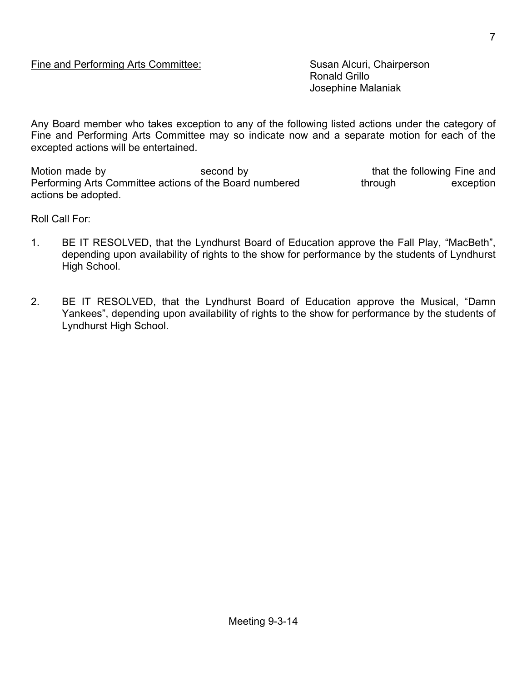Ronald Grillo Josephine Malaniak

Any Board member who takes exception to any of the following listed actions under the category of Fine and Performing Arts Committee may so indicate now and a separate motion for each of the excepted actions will be entertained.

Motion made by second by second by that the following Fine and Performing Arts Committee actions of the Board numbered through exception actions be adopted.

Roll Call For:

- 1. BE IT RESOLVED, that the Lyndhurst Board of Education approve the Fall Play, "MacBeth", depending upon availability of rights to the show for performance by the students of Lyndhurst High School.
- 2. BE IT RESOLVED, that the Lyndhurst Board of Education approve the Musical, "Damn Yankees", depending upon availability of rights to the show for performance by the students of Lyndhurst High School.